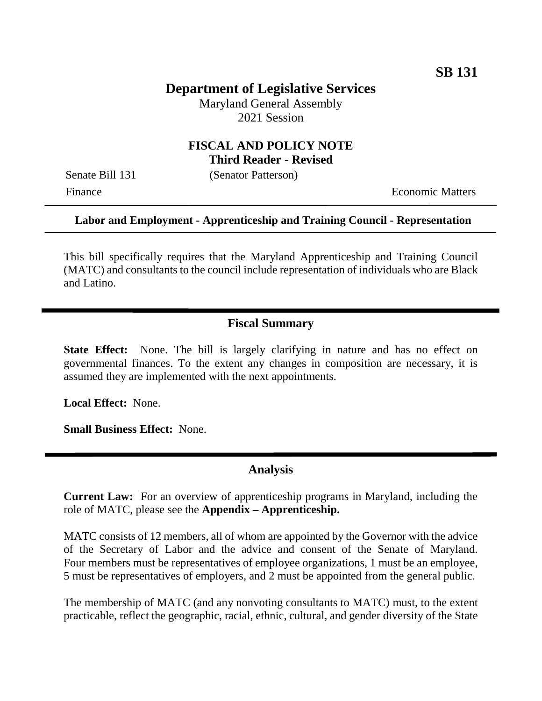# **Department of Legislative Services**

Maryland General Assembly 2021 Session

## **FISCAL AND POLICY NOTE Third Reader - Revised**

Senate Bill 131 (Senator Patterson)

Finance **Exercífical Economic Matters** 

#### **Labor and Employment - Apprenticeship and Training Council - Representation**

This bill specifically requires that the Maryland Apprenticeship and Training Council (MATC) and consultants to the council include representation of individuals who are Black and Latino.

## **Fiscal Summary**

**State Effect:** None. The bill is largely clarifying in nature and has no effect on governmental finances. To the extent any changes in composition are necessary, it is assumed they are implemented with the next appointments.

**Local Effect:** None.

**Small Business Effect:** None.

#### **Analysis**

**Current Law:** For an overview of apprenticeship programs in Maryland, including the role of MATC, please see the **Appendix – Apprenticeship.**

MATC consists of 12 members, all of whom are appointed by the Governor with the advice of the Secretary of Labor and the advice and consent of the Senate of Maryland. Four members must be representatives of employee organizations, 1 must be an employee, 5 must be representatives of employers, and 2 must be appointed from the general public.

The membership of MATC (and any nonvoting consultants to MATC) must, to the extent practicable, reflect the geographic, racial, ethnic, cultural, and gender diversity of the State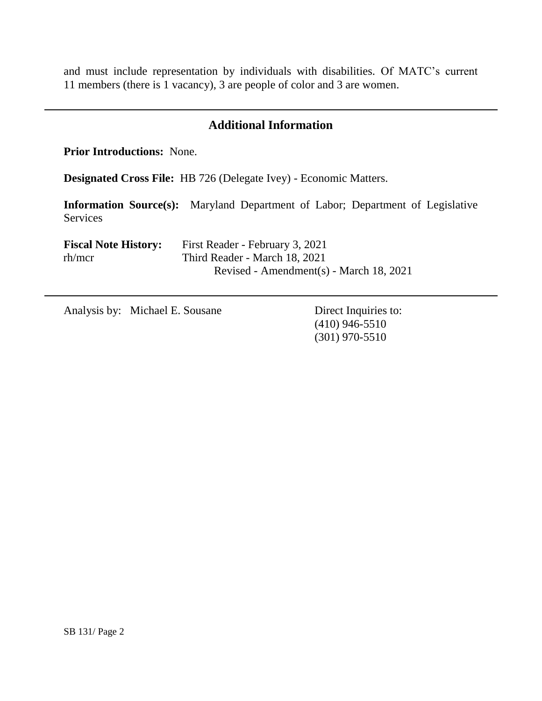and must include representation by individuals with disabilities. Of MATC's current 11 members (there is 1 vacancy), 3 are people of color and 3 are women.

## **Additional Information**

**Prior Introductions:** None.

**Designated Cross File:** HB 726 (Delegate Ivey) - Economic Matters.

**Information Source(s):** Maryland Department of Labor; Department of Legislative Services

| <b>Fiscal Note History:</b> | First Reader - February 3, 2021         |
|-----------------------------|-----------------------------------------|
| rh/mcr                      | Third Reader - March 18, 2021           |
|                             | Revised - Amendment(s) - March 18, 2021 |

Analysis by: Michael E. Sousane Direct Inquiries to:

(410) 946-5510 (301) 970-5510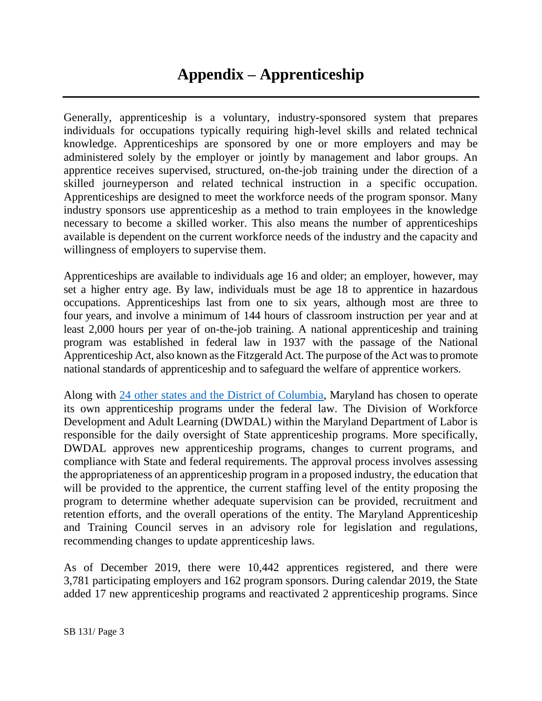Generally, apprenticeship is a voluntary, industry-sponsored system that prepares individuals for occupations typically requiring high-level skills and related technical knowledge. Apprenticeships are sponsored by one or more employers and may be administered solely by the employer or jointly by management and labor groups. An apprentice receives supervised, structured, on-the-job training under the direction of a skilled journeyperson and related technical instruction in a specific occupation. Apprenticeships are designed to meet the workforce needs of the program sponsor. Many industry sponsors use apprenticeship as a method to train employees in the knowledge necessary to become a skilled worker. This also means the number of apprenticeships available is dependent on the current workforce needs of the industry and the capacity and willingness of employers to supervise them.

Apprenticeships are available to individuals age 16 and older; an employer, however, may set a higher entry age. By law, individuals must be age 18 to apprentice in hazardous occupations. Apprenticeships last from one to six years, although most are three to four years, and involve a minimum of 144 hours of classroom instruction per year and at least 2,000 hours per year of on-the-job training. A national apprenticeship and training program was established in federal law in 1937 with the passage of the National Apprenticeship Act, also known as the Fitzgerald Act. The purpose of the Act was to promote national standards of apprenticeship and to safeguard the welfare of apprentice workers.

Along with [24 other states and the District of Columbia,](https://www.dol.gov/agencies/eta/apprenticeship/contact) Maryland has chosen to operate its own apprenticeship programs under the federal law. The Division of Workforce Development and Adult Learning (DWDAL) within the Maryland Department of Labor is responsible for the daily oversight of State apprenticeship programs. More specifically, DWDAL approves new apprenticeship programs, changes to current programs, and compliance with State and federal requirements. The approval process involves assessing the appropriateness of an apprenticeship program in a proposed industry, the education that will be provided to the apprentice, the current staffing level of the entity proposing the program to determine whether adequate supervision can be provided, recruitment and retention efforts, and the overall operations of the entity. The Maryland Apprenticeship and Training Council serves in an advisory role for legislation and regulations, recommending changes to update apprenticeship laws.

As of December 2019, there were 10,442 apprentices registered, and there were 3,781 participating employers and 162 program sponsors. During calendar 2019, the State added 17 new apprenticeship programs and reactivated 2 apprenticeship programs. Since